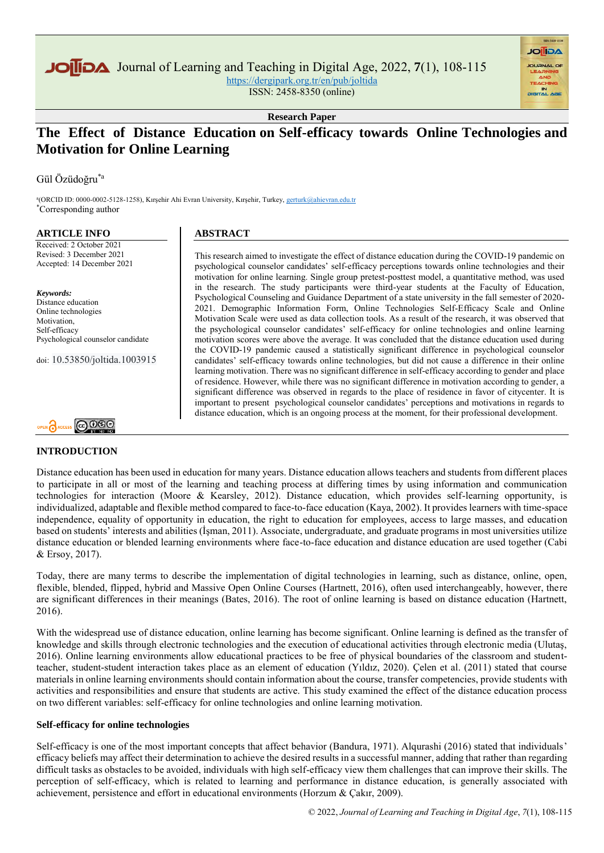Journal of Learning and Teaching in Digital Age, 2022, **7**(1), 108-115 <https://dergipark.org.tr/en/pub/joltida>

ISSN: 2458-8350 (online)

**Research Paper**

# **The Effect of Distance Education on Self-efficacy towards Online Technologies and Motivation for Online Learning**

Gül Özüdoğru\*a

a (ORCID ID: 0000-0002-5128-1258), Kırşehir Ahi Evran University, Kırşehir, Turkey[, gerturk@ahievran.edu.tr](gerturk@ahievran.edu.tr%20)  \*Corresponding author

#### **ARTICLE INFO**

Received: 2 October 2021 Revised: 3 December 2021 Accepted: 14 December 2021

*Keywords:* Distance education Online technologies Motivation, Self-efficacy Psychological counselor candidate

doi: 10.53850/joltida.1003915

# OPEN CACCESS COOSE

## **INTRODUCTION**

# **ABSTRACT**

This research aimed to investigate the effect of distance education during the COVID-19 pandemic on psychological counselor candidates' self-efficacy perceptions towards online technologies and their motivation for online learning. Single group pretest-posttest model, a quantitative method, was used in the research. The study participants were third-year students at the Faculty of Education, Psychological Counseling and Guidance Department of a state university in the fall semester of 2020- 2021. Demographic Information Form, Online Technologies Self-Efficacy Scale and Online Motivation Scale were used as data collection tools. As a result of the research, it was observed that the psychological counselor candidates' self-efficacy for online technologies and online learning motivation scores were above the average. It was concluded that the distance education used during the COVID-19 pandemic caused a statistically significant difference in psychological counselor candidates' self-efficacy towards online technologies, but did not cause a difference in their online learning motivation. There was no significant difference in self-efficacy according to gender and place of residence. However, while there was no significant difference in motivation according to gender, a significant difference was observed in regards to the place of residence in favor of citycenter. It is important to present psychological counselor candidates' perceptions and motivations in regards to distance education, which is an ongoing process at the moment, for their professional development.

**AGIIOL** 

Distance education has been used in education for many years. Distance education allows teachers and students from different places to participate in all or most of the learning and teaching process at differing times by using information and communication technologies for interaction (Moore & Kearsley, 2012). Distance education, which provides self-learning opportunity, is individualized, adaptable and flexible method compared to face-to-face education (Kaya, 2002). It provides learners with time-space independence, equality of opportunity in education, the right to education for employees, access to large masses, and education based on students' interests and abilities (İşman, 2011). Associate, undergraduate, and graduate programs in most universities utilize distance education or blended learning environments where face-to-face education and distance education are used together (Cabi & Ersoy, 2017).

Today, there are many terms to describe the implementation of digital technologies in learning, such as distance, online, open, flexible, blended, flipped, hybrid and Massive Open Online Courses (Hartnett, 2016), often used interchangeably, however, there are significant differences in their meanings (Bates, 2016). The root of online learning is based on distance education (Hartnett, 2016).

With the widespread use of distance education, online learning has become significant. Online learning is defined as the transfer of knowledge and skills through electronic technologies and the execution of educational activities through electronic media (Ulutaş, 2016). Online learning environments allow educational practices to be free of physical boundaries of the classroom and studentteacher, student-student interaction takes place as an element of education (Yıldız, 2020). Çelen et al. (2011) stated that course materials in online learning environments should contain information about the course, transfer competencies, provide students with activities and responsibilities and ensure that students are active. This study examined the effect of the distance education process on two different variables: self-efficacy for online technologies and online learning motivation.

## **Self-efficacy for online technologies**

Self-efficacy is one of the most important concepts that affect behavior (Bandura, 1971). Alqurashi (2016) stated that individuals' efficacy beliefs may affect their determination to achieve the desired results in a successful manner, adding that rather than regarding difficult tasks as obstacles to be avoided, individuals with high self-efficacy view them challenges that can improve their skills. The perception of self-efficacy, which is related to learning and performance in distance education, is generally associated with achievement, persistence and effort in educational environments (Horzum & Çakır, 2009).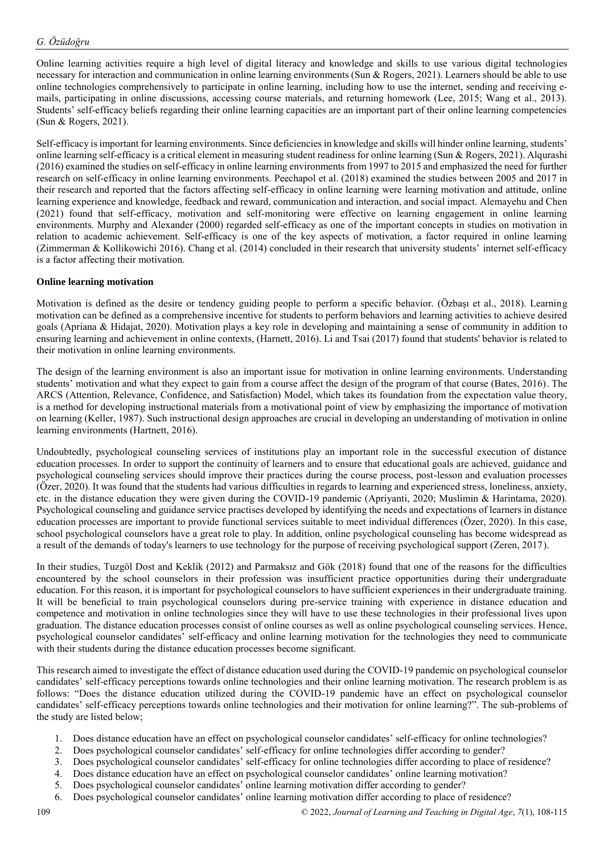Online learning activities require a high level of digital literacy and knowledge and skills to use various digital technologies necessary for interaction and communication in online learning environments (Sun & Rogers, 2021). Learners should be able to use online technologies comprehensively to participate in online learning, including how to use the internet, sending and receiving emails, participating in online discussions, accessing course materials, and returning homework (Lee, 2015; Wang et al., 2013). Students' self-efficacy beliefs regarding their online learning capacities are an important part of their online learning competencies (Sun & Rogers, 2021).

Self-efficacy is important for learning environments. Since deficiencies in knowledge and skills will hinder online learning, students' online learning self-efficacy is a critical element in measuring student readiness for online learning (Sun & Rogers, 2021). Alqurashi (2016) examined the studies on self-efficacy in online learning environments from 1997 to 2015 and emphasized the need for further research on self-efficacy in online learning environments. Peechapol et al. (2018) examined the studies between 2005 and 2017 in their research and reported that the factors affecting self-efficacy in online learning were learning motivation and attitude, online learning experience and knowledge, feedback and reward, communication and interaction, and social impact. Alemayehu and Chen (2021) found that self-efficacy, motivation and self-monitoring were effective on learning engagement in online learning environments. Murphy and Alexander (2000) regarded self-efficacy as one of the important concepts in studies on motivation in relation to academic achievement. Self-efficacy is one of the key aspects of motivation, a factor required in online learning (Zimmerman & Kollikowichi 2016). Chang et al. (2014) concluded in their research that university students' internet self-efficacy is a factor affecting their motivation.

## **Online learning motivation**

Motivation is defined as the desire or tendency guiding people to perform a specific behavior. (Özbaşı et al., 2018). Learning motivation can be defined as a comprehensive incentive for students to perform behaviors and learning activities to achieve desired goals (Apriana & Hidajat, 2020). Motivation plays a key role in developing and maintaining a sense of community in addition to ensuring learning and achievement in online contexts, (Harnett, 2016). Li and Tsai (2017) found that students' behavior is related to their motivation in online learning environments.

The design of the learning environment is also an important issue for motivation in online learning environments. Understanding students' motivation and what they expect to gain from a course affect the design of the program of that course (Bates, 2016). The ARCS (Attention, Relevance, Confidence, and Satisfaction) Model, which takes its foundation from the expectation value theory, is a method for developing instructional materials from a motivational point of view by emphasizing the importance of motivation on learning (Keller, 1987). Such instructional design approaches are crucial in developing an understanding of motivation in online learning environments (Hartnett, 2016).

Undoubtedly, psychological counseling services of institutions play an important role in the successful execution of distance education processes. In order to support the continuity of learners and to ensure that educational goals are achieved, guidance and psychological counseling services should improve their practices during the course process, post-lesson and evaluation processes (Özer, 2020). It was found that the students had various difficulties in regards to learning and experienced stress, loneliness, anxiety, etc. in the distance education they were given during the COVID-19 pandemic (Apriyanti, 2020; Muslimin & Harintama, 2020). Psychological counseling and guidance service practises developed by identifying the needs and expectations of learners in distance education processes are important to provide functional services suitable to meet individual differences (Özer, 2020). In this case, school psychological counselors have a great role to play. In addition, online psychological counseling has become widespread as a result of the demands of today's learners to use technology for the purpose of receiving psychological support (Zeren, 2017).

In their studies, Tuzgöl Dost and Keklik (2012) and Parmaksız and Gök (2018) found that one of the reasons for the difficulties encountered by the school counselors in their profession was insufficient practice opportunities during their undergraduate education. For this reason, it is important for psychological counselors to have sufficient experiences in their undergraduate training. It will be beneficial to train psychological counselors during pre-service training with experience in distance education and competence and motivation in online technologies since they will have to use these technologies in their professional lives upon graduation. The distance education processes consist of online courses as well as online psychological counseling services. Hence, psychological counselor candidates' self-efficacy and online learning motivation for the technologies they need to communicate with their students during the distance education processes become significant.

This research aimed to investigate the effect of distance education used during the COVID-19 pandemic on psychological counselor candidates' self-efficacy perceptions towards online technologies and their online learning motivation. The research problem is as follows: "Does the distance education utilized during the COVID-19 pandemic have an effect on psychological counselor candidates' self-efficacy perceptions towards online technologies and their motivation for online learning?". The sub-problems of the study are listed below;

- 1. Does distance education have an effect on psychological counselor candidates' self-efficacy for online technologies?
- 2. Does psychological counselor candidates' self-efficacy for online technologies differ according to gender?
- 3. Does psychological counselor candidates' self-efficacy for online technologies differ according to place of residence?
- 4. Does distance education have an effect on psychological counselor candidates' online learning motivation?
- 5. Does psychological counselor candidates' online learning motivation differ according to gender?
- 6. Does psychological counselor candidates' online learning motivation differ according to place of residence?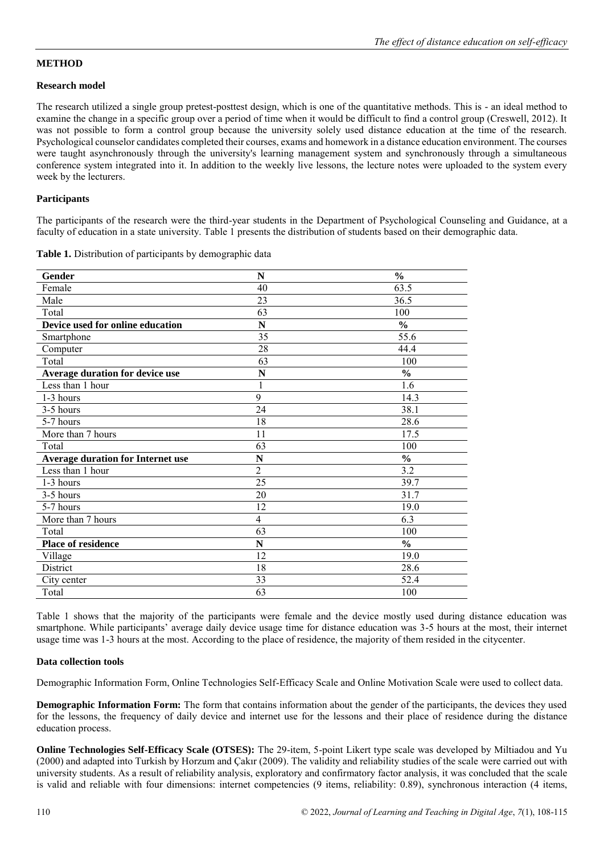## **METHOD**

## **Research model**

The research utilized a single group pretest-posttest design, which is one of the quantitative methods. This is - an ideal method to examine the change in a specific group over a period of time when it would be difficult to find a control group (Creswell, 2012). It was not possible to form a control group because the university solely used distance education at the time of the research. Psychological counselor candidates completed their courses, exams and homework in a distance education environment. The courses were taught asynchronously through the university's learning management system and synchronously through a simultaneous conference system integrated into it. In addition to the weekly live lessons, the lecture notes were uploaded to the system every week by the lecturers.

## **Participants**

The participants of the research were the third-year students in the Department of Psychological Counseling and Guidance, at a faculty of education in a state university. Table 1 presents the distribution of students based on their demographic data.

| Gender                            | N              | $\frac{6}{6}$ |
|-----------------------------------|----------------|---------------|
| Female                            | 40             | 63.5          |
| Male                              | 23             | 36.5          |
| Total                             | 63             | 100           |
| Device used for online education  | N              | $\frac{0}{0}$ |
| Smartphone                        | 35             | 55.6          |
| Computer                          | 28             | 44.4          |
| Total                             | 63             | 100           |
| Average duration for device use   | N              | $\frac{0}{0}$ |
| Less than 1 hour                  | 1              | 1.6           |
| 1-3 hours                         | 9              | 14.3          |
| 3-5 hours                         | 24             | 38.1          |
| 5-7 hours                         | 18             | 28.6          |
| More than 7 hours                 | 11             | 17.5          |
| Total                             | 63             | 100           |
| Average duration for Internet use | N              | $\frac{0}{0}$ |
| Less than 1 hour                  | $\overline{2}$ | 3.2           |
| 1-3 hours                         | 25             | 39.7          |
| 3-5 hours                         | 20             | 31.7          |
| 5-7 hours                         | 12             | 19.0          |
| More than 7 hours                 | 4              | 6.3           |
| Total                             | 63             | 100           |
| Place of residence                | N              | $\frac{0}{0}$ |
| Village                           | 12             | 19.0          |
| District                          | 18             | 28.6          |
| City center                       | 33             | 52.4          |
| Total                             | 63             | 100           |

**Table 1.** Distribution of participants by demographic data

Table 1 shows that the majority of the participants were female and the device mostly used during distance education was smartphone. While participants' average daily device usage time for distance education was 3-5 hours at the most, their internet usage time was 1-3 hours at the most. According to the place of residence, the majority of them resided in the citycenter.

# **Data collection tools**

Demographic Information Form, Online Technologies Self-Efficacy Scale and Online Motivation Scale were used to collect data.

**Demographic Information Form:** The form that contains information about the gender of the participants, the devices they used for the lessons, the frequency of daily device and internet use for the lessons and their place of residence during the distance education process.

**Online Technologies Self-Efficacy Scale (OTSES):** The 29-item, 5-point Likert type scale was developed by Miltiadou and Yu (2000) and adapted into Turkish by Horzum and Çakır (2009). The validity and reliability studies of the scale were carried out with university students. As a result of reliability analysis, exploratory and confirmatory factor analysis, it was concluded that the scale is valid and reliable with four dimensions: internet competencies (9 items, reliability: 0.89), synchronous interaction (4 items,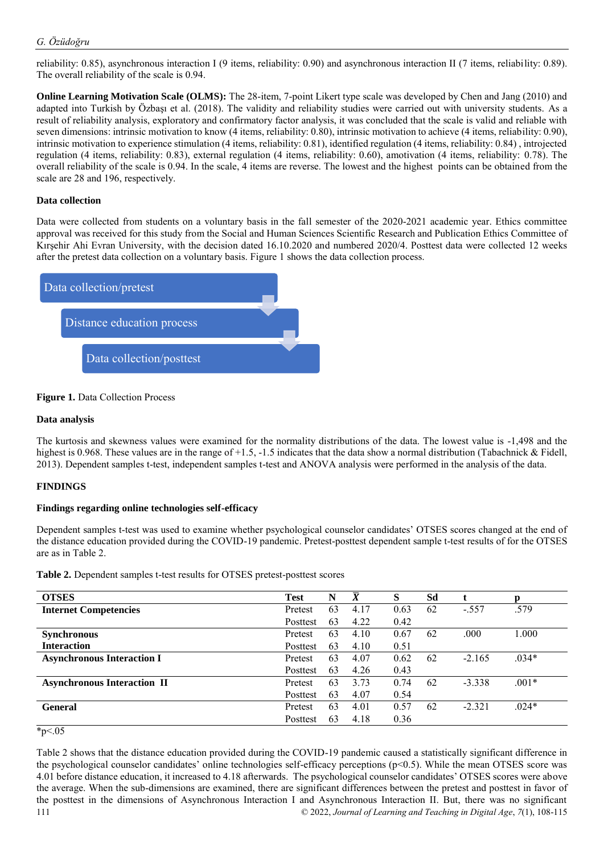reliability: 0.85), asynchronous interaction I (9 items, reliability: 0.90) and asynchronous interaction II (7 items, reliability: 0.89). The overall reliability of the scale is 0.94.

**Online Learning Motivation Scale (OLMS):** The 28-item, 7-point Likert type scale was developed by Chen and Jang (2010) and adapted into Turkish by Özbaşı et al. (2018). The validity and reliability studies were carried out with university students. As a result of reliability analysis, exploratory and confirmatory factor analysis, it was concluded that the scale is valid and reliable with seven dimensions: intrinsic motivation to know (4 items, reliability: 0.80), intrinsic motivation to achieve (4 items, reliability: 0.90), intrinsic motivation to experience stimulation (4 items, reliability: 0.81), identified regulation (4 items, reliability: 0.84) , introjected regulation (4 items, reliability: 0.83), external regulation (4 items, reliability: 0.60), amotivation (4 items, reliability: 0.78). The overall reliability of the scale is 0.94. In the scale, 4 items are reverse. The lowest and the highest points can be obtained from the scale are 28 and 196, respectively.

## **Data collection**

Data were collected from students on a voluntary basis in the fall semester of the 2020-2021 academic year. Ethics committee approval was received for this study from the Social and Human Sciences Scientific Research and Publication Ethics Committee of Kırşehir Ahi Evran University, with the decision dated 16.10.2020 and numbered 2020/4. Posttest data were collected 12 weeks after the pretest data collection on a voluntary basis. Figure 1 shows the data collection process.



## **Figure 1.** Data Collection Process

## **Data analysis**

The kurtosis and skewness values were examined for the normality distributions of the data. The lowest value is -1,498 and the highest is 0.968. These values are in the range of +1.5, -1.5 indicates that the data show a normal distribution (Tabachnick & Fidell, 2013). Dependent samples t-test, independent samples t-test and ANOVA analysis were performed in the analysis of the data.

## **FINDINGS**

## **Findings regarding online technologies self-efficacy**

Dependent samples t-test was used to examine whether psychological counselor candidates' OTSES scores changed at the end of the distance education provided during the COVID-19 pandemic. Pretest-posttest dependent sample t-test results of for the OTSES are as in Table 2.

**Table 2.** Dependent samples t-test results for OTSES pretest-posttest scores

| <b>OTSES</b>                       | <b>Test</b> | N  | $\overline{\bm{X}}$ | S    | Sd | t        | D       |
|------------------------------------|-------------|----|---------------------|------|----|----------|---------|
| <b>Internet Competencies</b>       | Pretest     | 63 | 4.17                | 0.63 | 62 | $-.557$  | .579    |
|                                    | Posttest    | 63 | 4.22                | 0.42 |    |          |         |
| <b>Synchronous</b>                 | Pretest     | 63 | 4.10                | 0.67 | 62 | .000     | 1.000   |
| <b>Interaction</b>                 | Posttest    | 63 | 4.10                | 0.51 |    |          |         |
| <b>Asynchronous Interaction I</b>  | Pretest     | 63 | 4.07                | 0.62 | 62 | $-2.165$ | $.034*$ |
|                                    | Posttest    | 63 | 4.26                | 0.43 |    |          |         |
| <b>Asynchronous Interaction II</b> | Pretest     | 63 | 3.73                | 0.74 | 62 | $-3.338$ | $.001*$ |
|                                    | Posttest    | 63 | 4.07                | 0.54 |    |          |         |
| <b>General</b>                     | Pretest     | 63 | 4.01                | 0.57 | 62 | $-2.321$ | $.024*$ |
|                                    | Posttest    | 63 | 4.18                | 0.36 |    |          |         |

 $*_{p<.05}$ 

111 © 2022, *Journal of Learning and Teaching in Digital Age*, *7*(1), 108-115 Table 2 shows that the distance education provided during the COVID-19 pandemic caused a statistically significant difference in the psychological counselor candidates' online technologies self-efficacy perceptions  $(p<0.5)$ . While the mean OTSES score was 4.01 before distance education, it increased to 4.18 afterwards. The psychological counselor candidates' OTSES scores were above the average. When the sub-dimensions are examined, there are significant differences between the pretest and posttest in favor of the posttest in the dimensions of Asynchronous Interaction I and Asynchronous Interaction II. But, there was no significant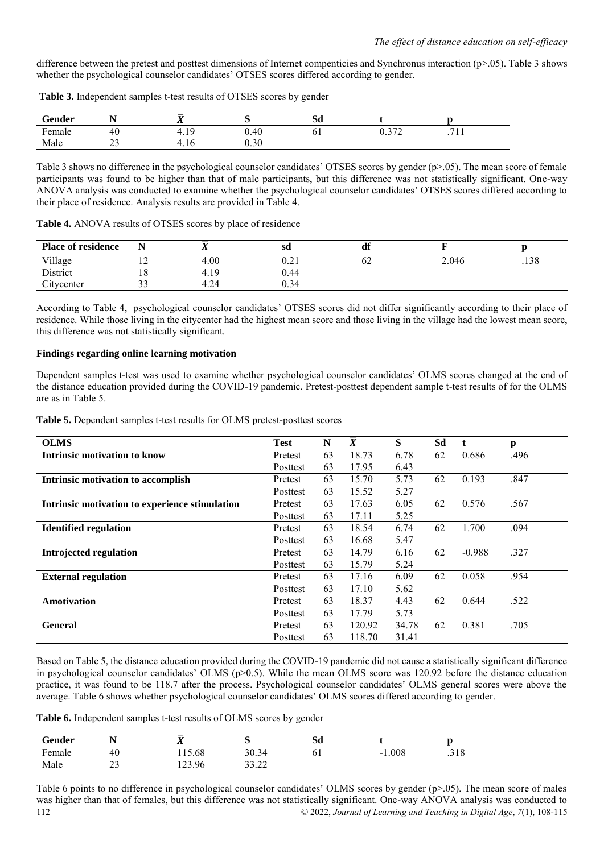difference between the pretest and posttest dimensions of Internet compenticies and Synchronus interaction (p>.05). Table 3 shows whether the psychological counselor candidates' OTSES scores differed according to gender.

| Table 3. Independent samples t-test results of OTSES scores by gender |  |  |
|-----------------------------------------------------------------------|--|--|
|-----------------------------------------------------------------------|--|--|

| <b>Gender</b>            | $\overline{\phantom{a}}$ | $\overline{\phantom{a}}$<br>. . |           | Sd  |                     |                  |  |
|--------------------------|--------------------------|---------------------------------|-----------|-----|---------------------|------------------|--|
| $\blacksquare$<br>∹emale | 40                       | $1 \Omega$<br>⊶<br>             | 0.40      | Q T | 0.272<br>∪.⊃<br>ے ، | $\sim$<br>.7.1.1 |  |
| Male                     | $\sim$<br>ر_ر            | t. I O<br>∸                     | $_{0.30}$ |     |                     |                  |  |

Table 3 shows no difference in the psychological counselor candidates' OTSES scores by gender (p>.05). The mean score of female participants was found to be higher than that of male participants, but this difference was not statistically significant. One-way ANOVA analysis was conducted to examine whether the psychological counselor candidates' OTSES scores differed according to their place of residence. Analysis results are provided in Table 4.

| <b>Place of residence</b> |    | 41   | sd   | df |       |      |
|---------------------------|----|------|------|----|-------|------|
| Village                   | ∸  | 4.00 | 0.21 | 62 | 2.046 | .138 |
| District                  | 10 | 4.19 | 0.44 |    |       |      |
| Citycenter                | ັ  | 4.24 | 0.34 |    |       |      |

**Table 4.** ANOVA results of OTSES scores by place of residence

According to Table 4, psychological counselor candidates' OTSES scores did not differ significantly according to their place of residence. While those living in the citycenter had the highest mean score and those living in the village had the lowest mean score, this difference was not statistically significant.

## **Findings regarding online learning motivation**

Dependent samples t-test was used to examine whether psychological counselor candidates' OLMS scores changed at the end of the distance education provided during the COVID-19 pandemic. Pretest-posttest dependent sample t-test results of for the OLMS are as in Table 5.

**Table 5.** Dependent samples t-test results for OLMS pretest-posttest scores

| <b>OLMS</b>                                    | <b>Test</b> | N  | $\overline{X}$ | S     | Sd |          | p    |
|------------------------------------------------|-------------|----|----------------|-------|----|----------|------|
| Intrinsic motivation to know                   | Pretest     | 63 | 18.73          | 6.78  | 62 | 0.686    | .496 |
|                                                | Posttest    | 63 | 17.95          | 6.43  |    |          |      |
| Intrinsic motivation to accomplish             | Pretest     | 63 | 15.70          | 5.73  | 62 | 0.193    | .847 |
|                                                | Posttest    | 63 | 15.52          | 5.27  |    |          |      |
| Intrinsic motivation to experience stimulation | Pretest     | 63 | 17.63          | 6.05  | 62 | 0.576    | .567 |
|                                                | Posttest    | 63 | 17.11          | 5.25  |    |          |      |
| <b>Identified regulation</b>                   | Pretest     | 63 | 18.54          | 6.74  | 62 | 1.700    | .094 |
|                                                | Posttest    | 63 | 16.68          | 5.47  |    |          |      |
| <b>Introjected regulation</b>                  | Pretest     | 63 | 14.79          | 6.16  | 62 | $-0.988$ | .327 |
|                                                | Posttest    | 63 | 15.79          | 5.24  |    |          |      |
| <b>External regulation</b>                     | Pretest     | 63 | 17.16          | 6.09  | 62 | 0.058    | .954 |
|                                                | Posttest    | 63 | 17.10          | 5.62  |    |          |      |
| <b>Amotivation</b>                             | Pretest     | 63 | 18.37          | 4.43  | 62 | 0.644    | .522 |
|                                                | Posttest    | 63 | 17.79          | 5.73  |    |          |      |
| <b>General</b>                                 | Pretest     | 63 | 120.92         | 34.78 | 62 | 0.381    | .705 |
|                                                | Posttest    | 63 | 118.70         | 31.41 |    |          |      |

Based on Table 5, the distance education provided during the COVID-19 pandemic did not cause a statistically significant difference in psychological counselor candidates' OLMS ( $p>0.5$ ). While the mean OLMS score was 120.92 before the distance education practice, it was found to be 118.7 after the process. Psychological counselor candidates' OLMS general scores were above the average. Table 6 shows whether psychological counselor candidates' OLMS scores differed according to gender.

**Table 6.** Independent samples t-test results of OLMS scores by gender

| Gender | N<br>. .   | ≂<br>$\overline{\phantom{a}}$ |                 | Sd             |              |               |  |
|--------|------------|-------------------------------|-----------------|----------------|--------------|---------------|--|
| Female | 40         | 15.68                         | 30.34           | 0 <sub>1</sub> | 1.008<br>- 1 | 210<br>. J 10 |  |
| Male   | n n<br>ر ب | 123.96                        | 22.22<br>ے کے د |                |              |               |  |

112 © 2022, *Journal of Learning and Teaching in Digital Age*, *7*(1), 108-115 Table 6 points to no difference in psychological counselor candidates' OLMS scores by gender (p>.05). The mean score of males was higher than that of females, but this difference was not statistically significant. One-way ANOVA analysis was conducted to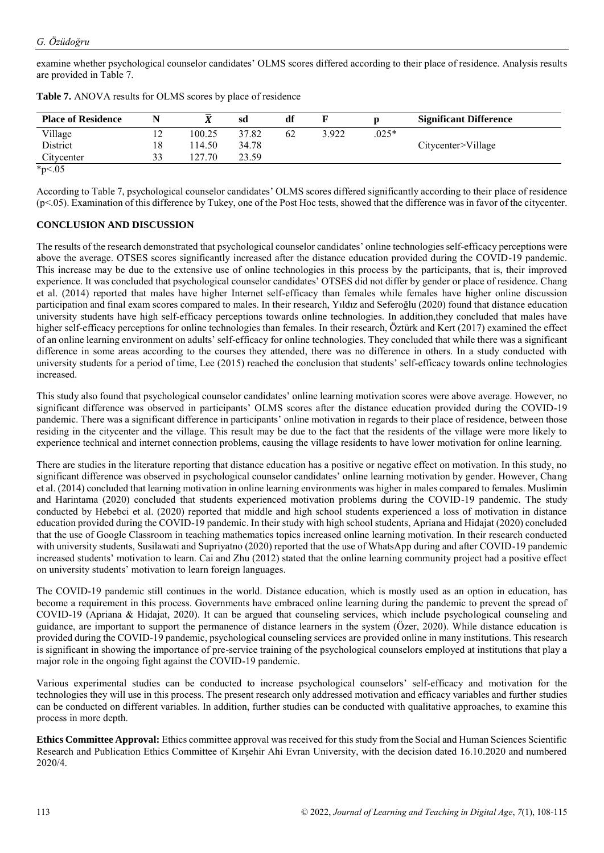examine whether psychological counselor candidates' OLMS scores differed according to their place of residence. Analysis results are provided in Table 7.

| <b>Place of Residence</b> | N  |         | sd    | df |       |         | <b>Significant Difference</b> |
|---------------------------|----|---------|-------|----|-------|---------|-------------------------------|
| Village                   | ∸  | 100.25  | 37.82 | 62 | 3.922 | $.025*$ |                               |
| District                  | 18 | 14.50   | 34.78 |    |       |         | Citycenter>Village            |
| Citycenter                | 33 | 127 70. | 23.59 |    |       |         |                               |
| $*_{p<.05}$               |    |         |       |    |       |         |                               |

**Table 7.** ANOVA results for OLMS scores by place of residence

According to Table 7, psychological counselor candidates' OLMS scores differed significantly according to their place of residence (p<.05). Examination of this difference by Tukey, one of the Post Hoc tests, showed that the difference was in favor of the citycenter.

# **CONCLUSION AND DISCUSSION**

The results of the research demonstrated that psychological counselor candidates' online technologies self-efficacy perceptions were above the average. OTSES scores significantly increased after the distance education provided during the COVID-19 pandemic. This increase may be due to the extensive use of online technologies in this process by the participants, that is, their improved experience. It was concluded that psychological counselor candidates' OTSES did not differ by gender or place of residence. Chang et al. (2014) reported that males have higher Internet self-efficacy than females while females have higher online discussion participation and final exam scores compared to males. In their research, Yıldız and Seferoğlu (2020) found that distance education university students have high self-efficacy perceptions towards online technologies. In addition,they concluded that males have higher self-efficacy perceptions for online technologies than females. In their research, Öztürk and Kert (2017) examined the effect of an online learning environment on adults' self-efficacy for online technologies. They concluded that while there was a significant difference in some areas according to the courses they attended, there was no difference in others. In a study conducted with university students for a period of time, Lee (2015) reached the conclusion that students' self-efficacy towards online technologies increased.

This study also found that psychological counselor candidates' online learning motivation scores were above average. However, no significant difference was observed in participants' OLMS scores after the distance education provided during the COVID-19 pandemic. There was a significant difference in participants' online motivation in regards to their place of residence, between those residing in the citycenter and the village. This result may be due to the fact that the residents of the village were more likely to experience technical and internet connection problems, causing the village residents to have lower motivation for online learning.

There are studies in the literature reporting that distance education has a positive or negative effect on motivation. In this study, no significant difference was observed in psychological counselor candidates' online learning motivation by gender. However, Chang et al. (2014) concluded that learning motivation in online learning environments was higher in males compared to females. Muslimin and Harintama (2020) concluded that students experienced motivation problems during the COVID-19 pandemic. The study conducted by Hebebci et al. (2020) reported that middle and high school students experienced a loss of motivation in distance education provided during the COVID-19 pandemic. In their study with high school students, Apriana and Hidajat (2020) concluded that the use of Google Classroom in teaching mathematics topics increased online learning motivation. In their research conducted with university students, Susilawati and Supriyatno (2020) reported that the use of WhatsApp during and after COVID-19 pandemic increased students' motivation to learn. Cai and Zhu (2012) stated that the online learning community project had a positive effect on university students' motivation to learn foreign languages.

The COVID-19 pandemic still continues in the world. Distance education, which is mostly used as an option in education, has become a requirement in this process. Governments have embraced online learning during the pandemic to prevent the spread of COVID-19 (Apriana & Hidajat, 2020). It can be argued that counseling services, which include psychological counseling and guidance, are important to support the permanence of distance learners in the system (Özer, 2020). While distance education is provided during the COVID-19 pandemic, psychological counseling services are provided online in many institutions. This research is significant in showing the importance of pre-service training of the psychological counselors employed at institutions that play a major role in the ongoing fight against the COVID-19 pandemic.

Various experimental studies can be conducted to increase psychological counselors' self-efficacy and motivation for the technologies they will use in this process. The present research only addressed motivation and efficacy variables and further studies can be conducted on different variables. In addition, further studies can be conducted with qualitative approaches, to examine this process in more depth.

**Ethics Committee Approval:** Ethics committee approval was received for this study from the Social and Human Sciences Scientific Research and Publication Ethics Committee of Kırşehir Ahi Evran University, with the decision dated 16.10.2020 and numbered 2020/4.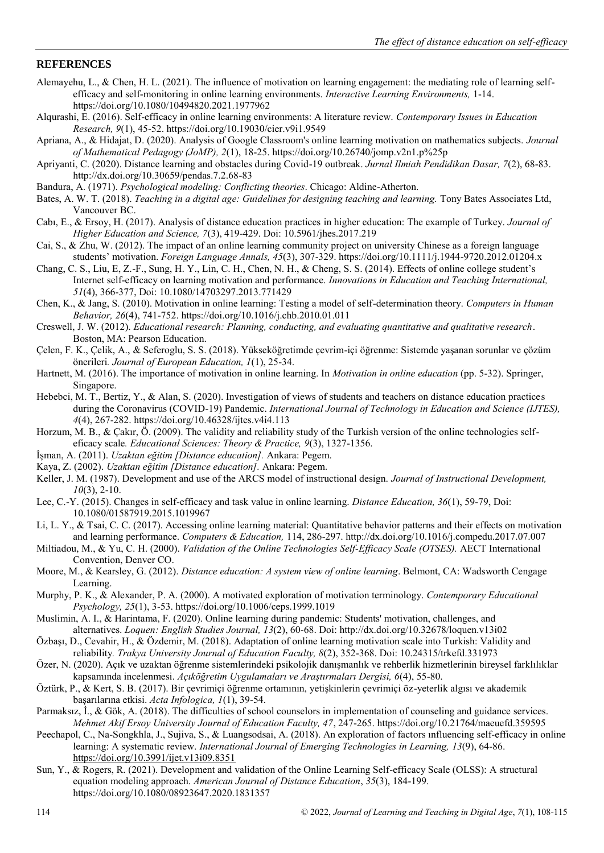## **REFERENCES**

- Alemayehu, L., & Chen, H. L. (2021). The influence of motivation on learning engagement: the mediating role of learning selfefficacy and self-monitoring in online learning environments. *Interactive Learning Environments,* 1-14. https://doi.org/10.1080/10494820.2021.1977962
- Alqurashi, E. (2016). Self-efficacy in online learning environments: A literature review. *Contemporary Issues in Education Research, 9*(1), 45-52. https://doi.org/10.19030/cier.v9i1.9549
- Apriana, A., & Hidajat, D. (2020). Analysis of Google Classroom's online learning motivation on mathematics subjects. *Journal of Mathematical Pedagogy (JoMP), 2*(1), 18-25. https://doi.org/10.26740/jomp.v2n1.p%25p
- Apriyanti, C. (2020). Distance learning and obstacles during Covid-19 outbreak. *Jurnal Ilmiah Pendidikan Dasar, 7*(2), 68-83. http://dx.doi.org/10.30659/pendas.7.2.68-83
- Bandura, A. (1971). *Psychological modeling: Conflicting theories*. Chicago: Aldine-Atherton.
- Bates, A. W. T. (2018). *Teaching in a digital age: Guidelines for designing teaching and learning.* Tony Bates Associates Ltd, Vancouver BC.
- Cabı, E., & Ersoy, H. (2017). Analysis of distance education practices in higher education: The example of Turkey. *Journal of Higher Education and Science, 7*(3), 419-429. Doi: 10.5961/jhes.2017.219
- Cai, S., & Zhu, W. (2012). The impact of an online learning community project on university Chinese as a foreign language students' motivation. *Foreign Language Annals, 45*(3), 307-329. https://doi.org/10.1111/j.1944-9720.2012.01204.x
- Chang, C. S., Liu, E, Z.-F., Sung, H. Y., Lin, C. H., Chen, N. H., & Cheng, S. S. (2014). Effects of online college student's Internet self-efficacy on learning motivation and performance. *Innovations in Education and Teaching International, 51*(4), 366-377, Doi: 10.1080/14703297.2013.771429
- Chen, K., & Jang, S. (2010). Motivation in online learning: Testing a model of self-determination theory. *Computers in Human Behavior, 26*(4), 741-752. https://doi.org/10.1016/j.chb.2010.01.011
- Creswell, J. W. (2012). *Educational research: Planning, conducting, and evaluating quantitative and qualitative research*. Boston, MA: Pearson Education.
- Çelen, F. K., Çelik, A., & Seferoglu, S. S. (2018). Yükseköğretimde çevrim-içi öğrenme: Sistemde yaşanan sorunlar ve çözüm önerileri*. Journal of European Education, 1*(1), 25-34.
- Hartnett, M. (2016). The importance of motivation in online learning. In *Motivation in online education* (pp. 5-32). Springer, Singapore.
- Hebebci, M. T., Bertiz, Y., & Alan, S. (2020). Investigation of views of students and teachers on distance education practices during the Coronavirus (COVID-19) Pandemic. *International Journal of Technology in Education and Science (IJTES), 4*(4), 267-282. https://doi.org/10.46328/ijtes.v4i4.113
- Horzum, M. B., & Çakır, Ö. (2009). The validity and reliability study of the Turkish version of the online technologies selfeficacy scale*. Educational Sciences: Theory & Practice, 9*(3), 1327-1356.
- İşman, A. (2011). *Uzaktan eğitim [Distance education].* Ankara: Pegem.
- Kaya, Z. (2002). *Uzaktan eğitim [Distance education].* Ankara: Pegem.
- Keller, J. M. (1987). Development and use of the ARCS model of instructional design. *Journal of Instructional Development, 10*(3), 2-10.
- Lee, C.-Y. (2015). Changes in self-efficacy and task value in online learning. *Distance Education, 36*(1), 59-79, Doi: 10.1080/01587919.2015.1019967
- Li, L. Y., & Tsai, C. C. (2017). Accessing online learning material: Quantitative behavior patterns and their effects on motivation and learning performance. *Computers & Education,* 114, 286-297. http://dx.doi.org/10.1016/j.compedu.2017.07.007
- Miltiadou, M., & Yu, C. H. (2000). *Validation of the Online Technologies Self-Efficacy Scale (OTSES).* AECT International Convention, Denver CO.
- Moore, M., & Kearsley, G. (2012). *Distance education: A system view of online learning*. Belmont, CA: Wadsworth Cengage Learning.
- Murphy, P. K., & Alexander, P. A. (2000). A motivated exploration of motivation terminology. *Contemporary Educational Psychology, 25*(1), 3-53. https://doi.org/10.1006/ceps.1999.1019
- Muslimin, A. I., & Harintama, F. (2020). Online learning during pandemic: Students' motivation, challenges, and alternatives. *Loquen: English Studies Journal, 13*(2), 60-68. Doi: http://dx.doi.org/10.32678/loquen.v13i02
- Özbaşı, D., Cevahir, H., & Özdemir, M. (2018). Adaptation of online learning motivation scale into Turkish: Validity and reliability*. Trakya University Journal of Education Faculty, 8*(2), 352-368. Doi: 10.24315/trkefd.331973
- Özer, N. (2020). Açık ve uzaktan öğrenme sistemlerindeki psikolojik danışmanlık ve rehberlik hizmetlerinin bireysel farklılıklar kapsamında incelenmesi. *Açıköğretim Uygulamaları ve Araştırmaları Dergisi, 6*(4), 55-80.
- Öztürk, P., & Kert, S. B. (2017). Bir çevrimiçi öğrenme ortamının, yetişkinlerin çevrimiçi öz-yeterlik algısı ve akademik başarılarına etkisi. *Acta Infologica, 1*(1), 39-54.
- Parmaksız, İ., & Gök, A. (2018). The difficulties of school counselors in implementation of counseling and guidance services. *Mehmet Akif Ersoy University Journal of Education Faculty, 47*, 247-265. https://doi.org/10.21764/maeuefd.359595
- Peechapol, C., Na-Songkhla, J., Sujiva, S., & Luangsodsai, A. (2018). An exploration of factors ınfluencing self-efficacy in online learning: A systematic review. *International Journal of Emerging Technologies in Learning, 13*(9), 64-86. <https://doi.org/10.3991/ijet.v13i09.8351>
- Sun, Y., & Rogers, R. (2021). Development and validation of the Online Learning Self-efficacy Scale (OLSS): A structural equation modeling approach. *American Journal of Distance Education*, *35*(3), 184-199. https://doi.org/10.1080/08923647.2020.1831357